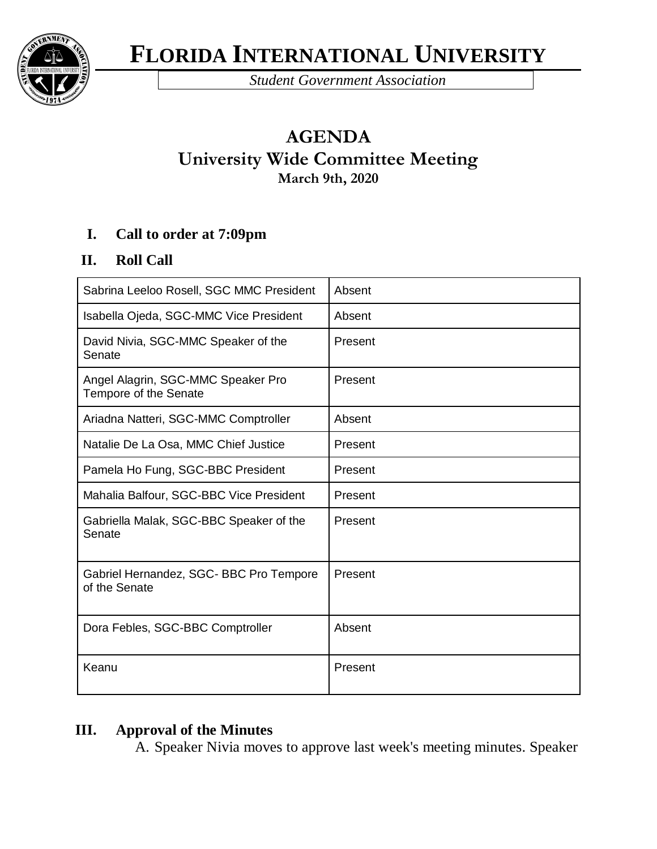**FLORIDA INTERNATIONAL UNIVERSITY**



*Student Government Association* 

# **AGENDA University Wide Committee Meeting March 9th, 2020**

### **I. Call to order at 7:09pm**

### **II. Roll Call**

| Sabrina Leeloo Rosell, SGC MMC President                    | Absent  |
|-------------------------------------------------------------|---------|
| Isabella Ojeda, SGC-MMC Vice President                      | Absent  |
| David Nivia, SGC-MMC Speaker of the<br>Senate               | Present |
| Angel Alagrin, SGC-MMC Speaker Pro<br>Tempore of the Senate | Present |
| Ariadna Natteri, SGC-MMC Comptroller                        | Absent  |
| Natalie De La Osa, MMC Chief Justice                        | Present |
| Pamela Ho Fung, SGC-BBC President                           | Present |
| Mahalia Balfour, SGC-BBC Vice President                     | Present |
| Gabriella Malak, SGC-BBC Speaker of the<br>Senate           | Present |
| Gabriel Hernandez, SGC- BBC Pro Tempore<br>of the Senate    | Present |
| Dora Febles, SGC-BBC Comptroller                            | Absent  |
| Keanu                                                       | Present |

### **III. Approval of the Minutes**

A. Speaker Nivia moves to approve last week's meeting minutes. Speaker